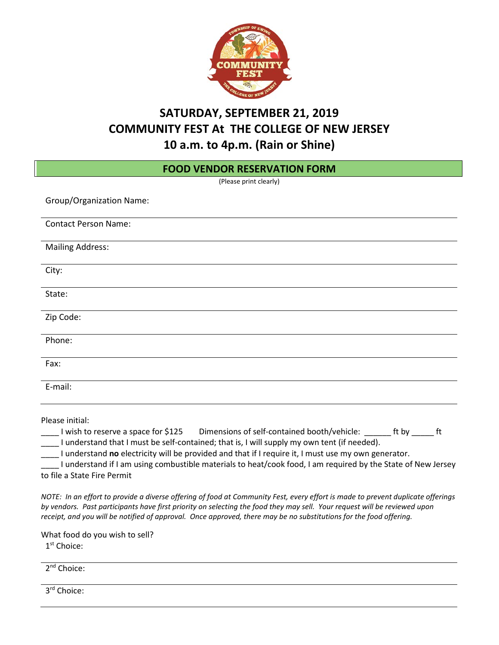

# **SATURDAY, SEPTEMBER 21, 2019 COMMUNITY FEST At THE COLLEGE OF NEW JERSEY 10 a.m. to 4p.m. (Rain or Shine)**

| <b>FOOD VENDOR RESERVATION FORM</b>                                                                                                                                                                                                                                                                                                                                                                                                                                                  |  |  |  |  |  |  |
|--------------------------------------------------------------------------------------------------------------------------------------------------------------------------------------------------------------------------------------------------------------------------------------------------------------------------------------------------------------------------------------------------------------------------------------------------------------------------------------|--|--|--|--|--|--|
| (Please print clearly)                                                                                                                                                                                                                                                                                                                                                                                                                                                               |  |  |  |  |  |  |
| <b>Group/Organization Name:</b>                                                                                                                                                                                                                                                                                                                                                                                                                                                      |  |  |  |  |  |  |
| <b>Contact Person Name:</b>                                                                                                                                                                                                                                                                                                                                                                                                                                                          |  |  |  |  |  |  |
| <b>Mailing Address:</b>                                                                                                                                                                                                                                                                                                                                                                                                                                                              |  |  |  |  |  |  |
| City:                                                                                                                                                                                                                                                                                                                                                                                                                                                                                |  |  |  |  |  |  |
| State:                                                                                                                                                                                                                                                                                                                                                                                                                                                                               |  |  |  |  |  |  |
| Zip Code:                                                                                                                                                                                                                                                                                                                                                                                                                                                                            |  |  |  |  |  |  |
| Phone:                                                                                                                                                                                                                                                                                                                                                                                                                                                                               |  |  |  |  |  |  |
| Fax:                                                                                                                                                                                                                                                                                                                                                                                                                                                                                 |  |  |  |  |  |  |
| E-mail:                                                                                                                                                                                                                                                                                                                                                                                                                                                                              |  |  |  |  |  |  |
| Please initial:<br>Dimensions of self-contained booth/vehicle: ________ ft by _______ ft<br>I wish to reserve a space for \$125<br>I understand that I must be self-contained; that is, I will supply my own tent (if needed).<br>I understand no electricity will be provided and that if I require it, I must use my own generator.<br>I understand if I am using combustible materials to heat/cook food, I am required by the State of New Jersey<br>to file a State Fire Permit |  |  |  |  |  |  |
| NOTE: In an effort to provide a diverse offering of food at Community Fest, every effort is made to prevent duplicate offerings<br>by vendors. Past participants have first priority on selecting the food they may sell. Your request will be reviewed upon<br>receipt, and you will be notified of approval. Once approved, there may be no substitutions for the food offering.                                                                                                   |  |  |  |  |  |  |

What food do you wish to sell? 1st Choice:

2<sup>nd</sup> Choice:

3<sup>rd</sup> Choice: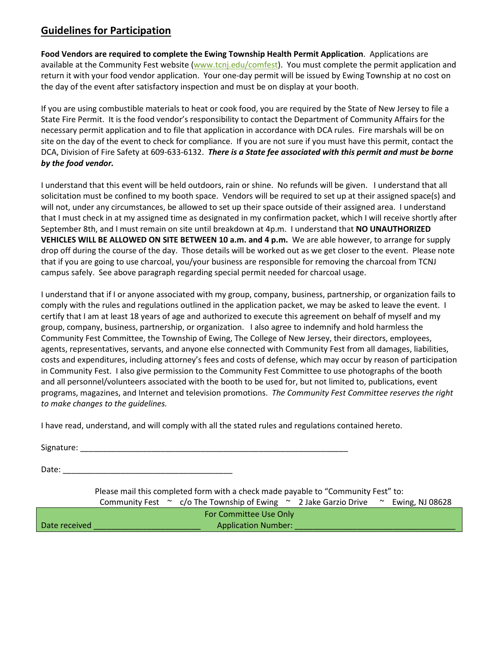### **Guidelines for Participation**

**Food Vendors are required to complete the Ewing Township Health Permit Application**. Applications are available at the Community Fest website (www.tcnj.edu/comfest). You must complete the permit application and return it with your food vendor application. Your one-day permit will be issued by Ewing Township at no cost on the day of the event after satisfactory inspection and must be on display at your booth.

If you are using combustible materials to heat or cook food, you are required by the State of New Jersey to file a State Fire Permit. It is the food vendor's responsibility to contact the Department of Community Affairs for the necessary permit application and to file that application in accordance with DCA rules. Fire marshals will be on site on the day of the event to check for compliance. If you are not sure if you must have this permit, contact the DCA, Division of Fire Safety at 609-633-6132. *There is a State fee associated with this permit and must be borne by the food vendor.*

I understand that this event will be held outdoors, rain or shine. No refunds will be given. I understand that all solicitation must be confined to my booth space. Vendors will be required to set up at their assigned space(s) and will not, under any circumstances, be allowed to set up their space outside of their assigned area. I understand that I must check in at my assigned time as designated in my confirmation packet, which I will receive shortly after September 8th, and I must remain on site until breakdown at 4p.m. I understand that **NO UNAUTHORIZED VEHICLES WILL BE ALLOWED ON SITE BETWEEN 10 a.m. and 4 p.m.** We are able however, to arrange for supply drop off during the course of the day. Those details will be worked out as we get closer to the event. Please note that if you are going to use charcoal, you/your business are responsible for removing the charcoal from TCNJ campus safely. See above paragraph regarding special permit needed for charcoal usage.

I understand that if I or anyone associated with my group, company, business, partnership, or organization fails to comply with the rules and regulations outlined in the application packet, we may be asked to leave the event. I certify that I am at least 18 years of age and authorized to execute this agreement on behalf of myself and my group, company, business, partnership, or organization. I also agree to indemnify and hold harmless the Community Fest Committee, the Township of Ewing, The College of New Jersey, their directors, employees, agents, representatives, servants, and anyone else connected with Community Fest from all damages, liabilities, costs and expenditures, including attorney's fees and costs of defense, which may occur by reason of participation in Community Fest. I also give permission to the Community Fest Committee to use photographs of the booth and all personnel/volunteers associated with the booth to be used for, but not limited to, publications, event programs, magazines, and Internet and television promotions. *The Community Fest Committee reserves the right to make changes to the guidelines.*

I have read, understand, and will comply with all the stated rules and regulations contained hereto.

Signature:  $\Box$ 

Date:  $\Box$ 

Please mail this completed form with a check made payable to "Community Fest" to: Community Fest  $\sim$  c/o The Township of Ewing  $\sim$  2 Jake Garzio Drive  $\sim$  Ewing, NJ 08628 For Committee Use Only Date received \_\_\_\_\_\_\_\_\_\_\_\_\_\_\_\_\_\_\_\_\_\_\_\_ Application Number: \_\_\_\_\_\_\_\_\_\_\_\_\_\_\_\_\_\_\_\_\_\_\_\_\_\_\_\_\_\_\_\_\_\_\_\_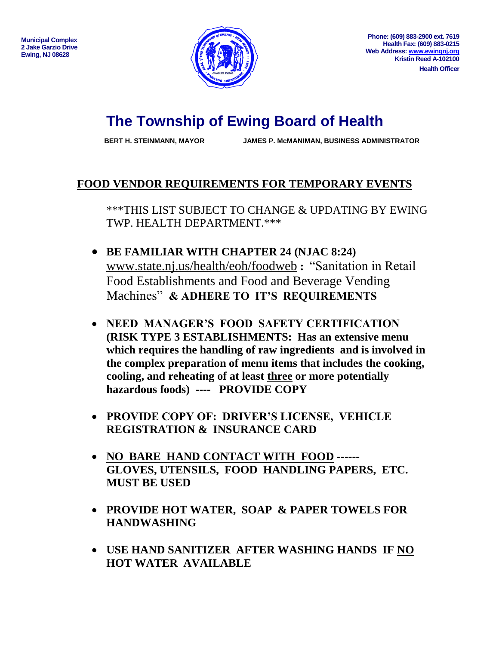

# **The Township of Ewing Board of Health**

**BERT H. STEINMANN, MAYOR JAMES P. McMANIMAN, BUSINESS ADMINISTRATOR**

## **FOOD VENDOR REQUIREMENTS FOR TEMPORARY EVENTS**

\*\*\*THIS LIST SUBJECT TO CHANGE & UPDATING BY EWING TWP. HEALTH DEPARTMENT.\*\*\*

- **BE FAMILIAR WITH CHAPTER 24 (NJAC 8:24)**  [www.state.nj.us/health/eoh/foodweb](http://www.state.nj.us/health/eoh/foodweb) **:** "Sanitation in Retail Food Establishments and Food and Beverage Vending Machines" **& ADHERE TO IT'S REQUIREMENTS**
- **NEED MANAGER'S FOOD SAFETY CERTIFICATION (RISK TYPE 3 ESTABLISHMENTS: Has an extensive menu which requires the handling of raw ingredients and is involved in the complex preparation of menu items that includes the cooking, cooling, and reheating of at least three or more potentially hazardous foods) ---- PROVIDE COPY**
- **PROVIDE COPY OF: DRIVER'S LICENSE, VEHICLE REGISTRATION & INSURANCE CARD**
- **NO BARE HAND CONTACT WITH FOOD ------ GLOVES, UTENSILS, FOOD HANDLING PAPERS, ETC. MUST BE USED**
- **PROVIDE HOT WATER, SOAP & PAPER TOWELS FOR HANDWASHING**
- **USE HAND SANITIZER AFTER WASHING HANDS IF NO HOT WATER AVAILABLE**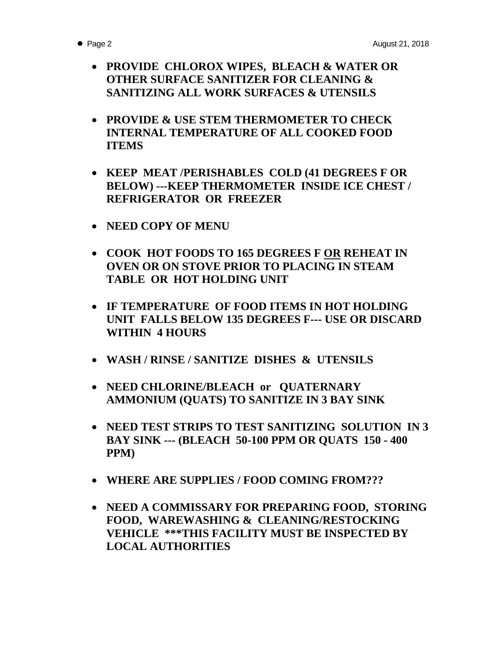- - **PROVIDE CHLOROX WIPES, BLEACH & WATER OR OTHER SURFACE SANITIZER FOR CLEANING & SANITIZING ALL WORK SURFACES & UTENSILS**
	- **PROVIDE & USE STEM THERMOMETER TO CHECK INTERNAL TEMPERATURE OF ALL COOKED FOOD ITEMS**
	- **KEEP MEAT /PERISHABLES COLD (41 DEGREES F OR BELOW) ---KEEP THERMOMETER INSIDE ICE CHEST / REFRIGERATOR OR FREEZER**
	- **NEED COPY OF MENU**
	- **COOK HOT FOODS TO 165 DEGREES F OR REHEAT IN OVEN OR ON STOVE PRIOR TO PLACING IN STEAM TABLE OR HOT HOLDING UNIT**
	- **IF TEMPERATURE OF FOOD ITEMS IN HOT HOLDING UNIT FALLS BELOW 135 DEGREES F--- USE OR DISCARD WITHIN 4 HOURS**
	- **WASH / RINSE / SANITIZE DISHES & UTENSILS**
	- **NEED CHLORINE/BLEACH or QUATERNARY AMMONIUM (QUATS) TO SANITIZE IN 3 BAY SINK**
	- **NEED TEST STRIPS TO TEST SANITIZING SOLUTION IN 3 BAY SINK --- (BLEACH 50-100 PPM OR QUATS 150 - 400 PPM)**
	- **WHERE ARE SUPPLIES / FOOD COMING FROM???**
	- **NEED A COMMISSARY FOR PREPARING FOOD, STORING FOOD, WAREWASHING & CLEANING/RESTOCKING VEHICLE \*\*\*THIS FACILITY MUST BE INSPECTED BY LOCAL AUTHORITIES**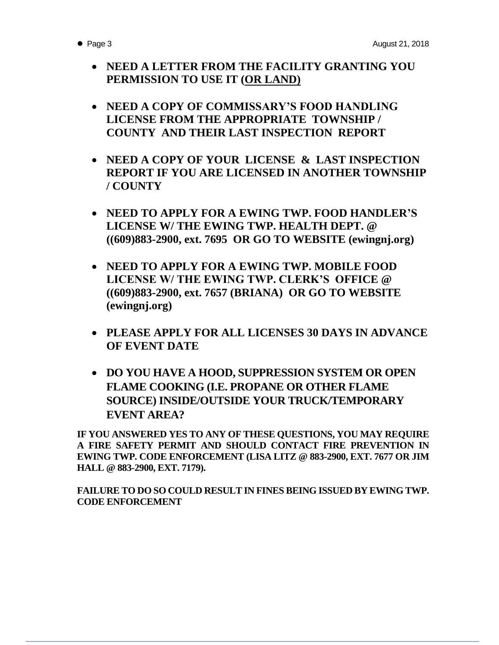- **NEED A LETTER FROM THE FACILITY GRANTING YOU PERMISSION TO USE IT (OR LAND)**
- **NEED A COPY OF COMMISSARY'S FOOD HANDLING LICENSE FROM THE APPROPRIATE TOWNSHIP / COUNTY AND THEIR LAST INSPECTION REPORT**
- **NEED A COPY OF YOUR LICENSE & LAST INSPECTION REPORT IF YOU ARE LICENSED IN ANOTHER TOWNSHIP / COUNTY**
- **NEED TO APPLY FOR A EWING TWP. FOOD HANDLER'S LICENSE W/ THE EWING TWP. HEALTH DEPT. @ ((609)883-2900, ext. 7695 OR GO TO WEBSITE (ewingnj.org)**
- **NEED TO APPLY FOR A EWING TWP. MOBILE FOOD LICENSE W/ THE EWING TWP. CLERK'S OFFICE @ ((609)883-2900, ext. 7657 (BRIANA) OR GO TO WEBSITE (ewingnj.org)**
- **PLEASE APPLY FOR ALL LICENSES 30 DAYS IN ADVANCE OF EVENT DATE**
- **DO YOU HAVE A HOOD, SUPPRESSION SYSTEM OR OPEN FLAME COOKING (I.E. PROPANE OR OTHER FLAME SOURCE) INSIDE/OUTSIDE YOUR TRUCK/TEMPORARY EVENT AREA?**

**IF YOU ANSWERED YES TO ANY OF THESE QUESTIONS, YOU MAY REQUIRE A FIRE SAFETY PERMIT AND SHOULD CONTACT FIRE PREVENTION IN EWING TWP. CODE ENFORCEMENT (LISA LITZ @ 883-2900, EXT. 7677 OR JIM HALL @ 883-2900, EXT. 7179).**

**FAILURE TO DO SO COULD RESULT IN FINES BEING ISSUED BY EWING TWP. CODE ENFORCEMENT**